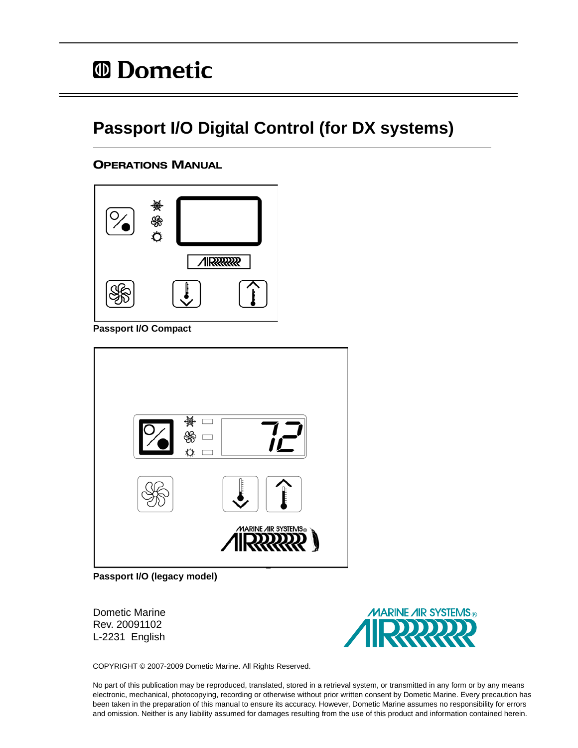## **Passport I/O Digital Control (for DX systems)**

## OPERATIONS MANUAL



**Passport I/O Compact**

| يسلون                                  |
|----------------------------------------|
| l<br>$\overline{f}$                    |
| <b>MARINE AIR SYSTEMS</b> <sup>®</sup> |

**Passport I/O (legacy model)**

Dometic Marine Rev. 20091102 L-2231 English



COPYRIGHT © 2007-2009 Dometic Marine. All Rights Reserved.

No part of this publication may be reproduced, translated, stored in a retrieval system, or transmitted in any form or by any means electronic, mechanical, photocopying, recording or otherwise without prior written consent by Dometic Marine. Every precaution has been taken in the preparation of this manual to ensure its accuracy. However, Dometic Marine assumes no responsibility for errors and omission. Neither is any liability assumed for damages resulting from the use of this product and information contained herein.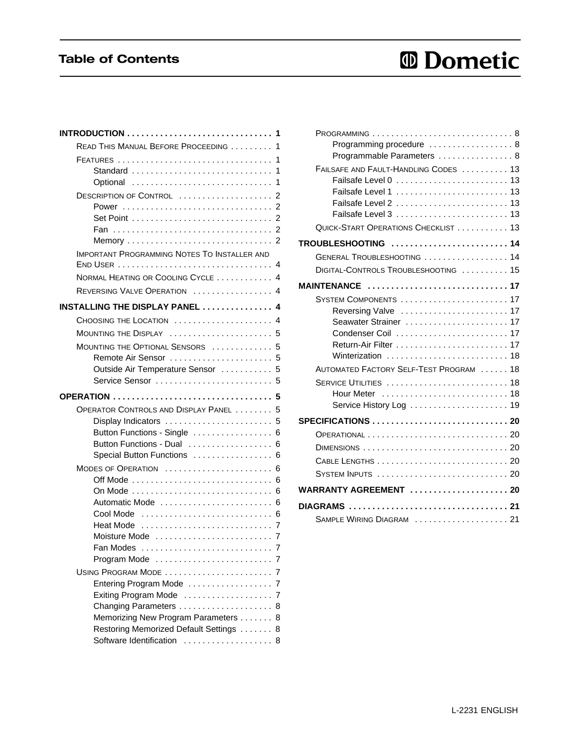## Table of Contents

# *<sup>ID</sup>* Dometic

| <b>INTRODUCTION</b> 1                                                 |   |
|-----------------------------------------------------------------------|---|
| READ THIS MANUAL BEFORE PROCEEDING 1                                  |   |
|                                                                       | 1 |
| Standard                                                              | 1 |
|                                                                       |   |
| DESCRIPTION OF CONTROL  2                                             |   |
|                                                                       |   |
|                                                                       |   |
|                                                                       |   |
| <b>IMPORTANT PROGRAMMING NOTES TO INSTALLER AND</b>                   |   |
|                                                                       |   |
| NORMAL HEATING OR COOLING CYCLE  4                                    |   |
| REVERSING VALVE OPERATION  4                                          |   |
| <b>INSTALLING THE DISPLAY PANEL  4</b>                                |   |
| CHOOSING THE LOCATION  4                                              |   |
| MOUNTING THE DISPLAY  5                                               |   |
| MOUNTING THE OPTIONAL SENSORS                                         | 5 |
| Remote Air Sensor  5                                                  |   |
| Outside Air Temperature Sensor  5                                     |   |
| Service Sensor  5                                                     |   |
|                                                                       |   |
|                                                                       |   |
|                                                                       |   |
| OPERATOR CONTROLS AND DISPLAY PANEL  5                                |   |
| Display Indicators  5                                                 |   |
| Button Functions - Single  6<br>Button Functions - Dual  6            |   |
| Special Button Functions  6                                           |   |
| MODES OF OPERATION  6                                                 |   |
|                                                                       |   |
| On Mode  6                                                            |   |
| Automatic Mode  6                                                     |   |
| Cool Mode                                                             |   |
| Heat Mode                                                             |   |
|                                                                       |   |
|                                                                       |   |
|                                                                       |   |
| USING PROGRAM MODE  7                                                 | 7 |
| Entering Program Mode<br>Exiting Program Mode                         | 7 |
| Changing Parameters                                                   | 8 |
| Memorizing New Program Parameters 8                                   |   |
| Restoring Memorized Default Settings  8<br>Software Identification  8 |   |

| Programming procedure  8                     |
|----------------------------------------------|
| Programmable Parameters  8                   |
| FAILSAFE AND FAULT-HANDLING CODES  13        |
| Failsafe Level 0  13                         |
| Failsafe Level 1  13<br>Failsafe Level 2  13 |
|                                              |
| QUICK-START OPERATIONS CHECKLIST 13          |
| TROUBLESHOOTING  14                          |
| GENERAL TROUBLESHOOTING  14                  |
| DIGITAL-CONTROLS TROUBLESHOOTING  15         |
| MAINTENANCE 17                               |
| SYSTEM COMPONENTS  17                        |
| Reversing Valve  17                          |
| Seawater Strainer  17                        |
|                                              |
|                                              |
| Winterization  18                            |
| AUTOMATED FACTORY SELF-TEST PROGRAM 18       |
| SERVICE UTILITIES  18                        |
|                                              |
|                                              |
|                                              |
|                                              |
|                                              |
| SYSTEM INPUTS  20                            |
| WARRANTY AGREEMENT  20                       |
|                                              |
|                                              |
| SAMPLE WIRING DIAGRAM  21                    |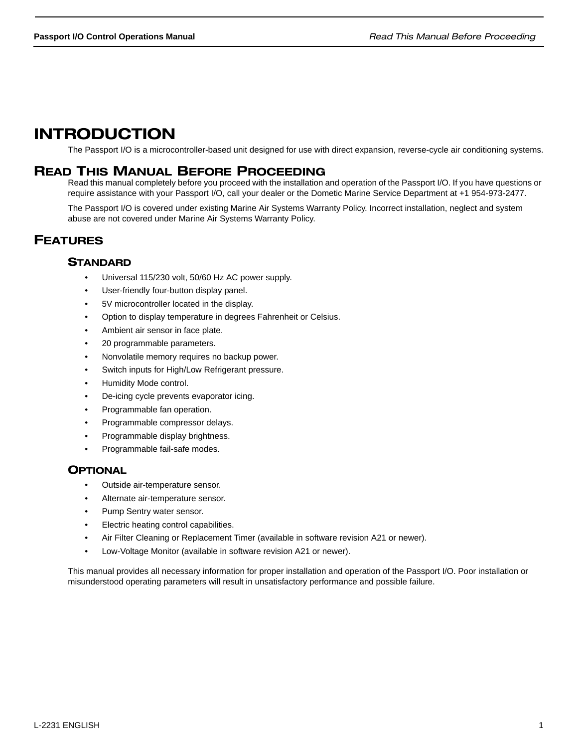## INTRODUCTION

The Passport I/O is a microcontroller-based unit designed for use with direct expansion, reverse-cycle air conditioning systems.

## READ THIS MANUAL BEFORE PROCEEDING

Read this manual completely before you proceed with the installation and operation of the Passport I/O. If you have questions or require assistance with your Passport I/O, call your dealer or the Dometic Marine Service Department at +1 954-973-2477.

The Passport I/O is covered under existing Marine Air Systems Warranty Policy. Incorrect installation, neglect and system abuse are not covered under Marine Air Systems Warranty Policy.

## FEATURES

## **STANDARD**

- Universal 115/230 volt, 50/60 Hz AC power supply.
- User-friendly four-button display panel.
- 5V microcontroller located in the display.
- Option to display temperature in degrees Fahrenheit or Celsius.
- Ambient air sensor in face plate.
- 20 programmable parameters.
- Nonvolatile memory requires no backup power.
- Switch inputs for High/Low Refrigerant pressure.
- Humidity Mode control.
- De-icing cycle prevents evaporator icing.
- Programmable fan operation.
- Programmable compressor delays.
- Programmable display brightness.
- Programmable fail-safe modes.

## **OPTIONAL**

- Outside air-temperature sensor.
- Alternate air-temperature sensor.
- Pump Sentry water sensor.
- Electric heating control capabilities.
- Air Filter Cleaning or Replacement Timer (available in software revision A21 or newer).
- Low-Voltage Monitor (available in software revision A21 or newer).

This manual provides all necessary information for proper installation and operation of the Passport I/O. Poor installation or misunderstood operating parameters will result in unsatisfactory performance and possible failure.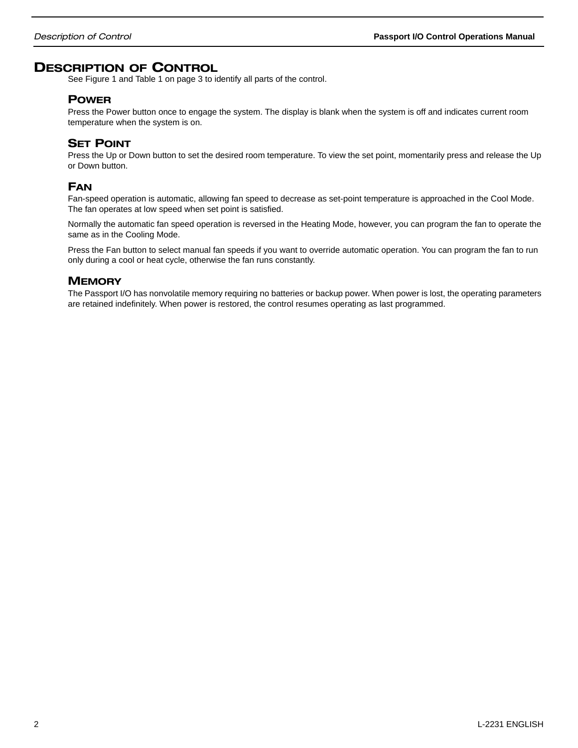## DESCRIPTION OF CONTROL

See Figure 1 and Table 1 on page 3 to identify all parts of the control.

## POWER

Press the Power button once to engage the system. The display is blank when the system is off and indicates current room temperature when the system is on.

## **SET POINT**

Press the Up or Down button to set the desired room temperature. To view the set point, momentarily press and release the Up or Down button.

## FAN

Fan-speed operation is automatic, allowing fan speed to decrease as set-point temperature is approached in the Cool Mode. The fan operates at low speed when set point is satisfied.

Normally the automatic fan speed operation is reversed in the Heating Mode, however, you can program the fan to operate the same as in the Cooling Mode.

Press the Fan button to select manual fan speeds if you want to override automatic operation. You can program the fan to run only during a cool or heat cycle, otherwise the fan runs constantly.

## **MEMORY**

The Passport I/O has nonvolatile memory requiring no batteries or backup power. When power is lost, the operating parameters are retained indefinitely. When power is restored, the control resumes operating as last programmed.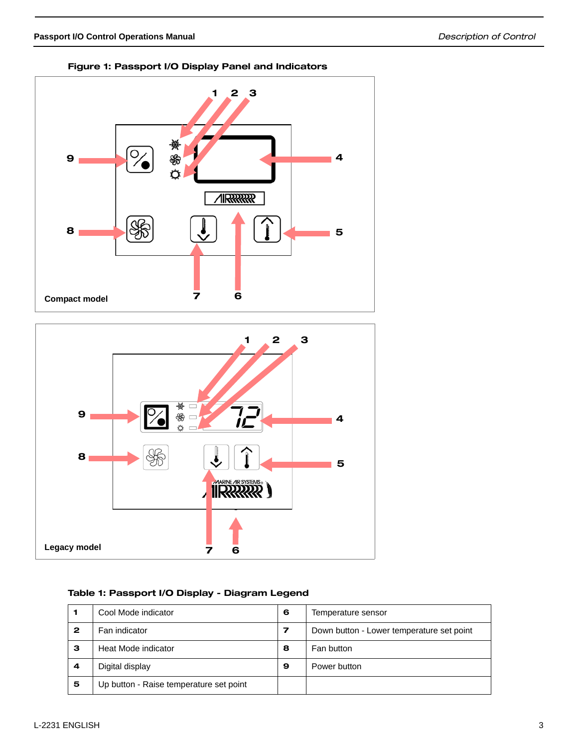





## Table 1: Passport I/O Display - Diagram Legend

|   | Cool Mode indicator                     | 6 | Temperature sensor                        |
|---|-----------------------------------------|---|-------------------------------------------|
| 2 | Fan indicator                           | 7 | Down button - Lower temperature set point |
| з | Heat Mode indicator                     | 8 | Fan button                                |
| 4 | Digital display                         | 9 | Power button                              |
| 5 | Up button - Raise temperature set point |   |                                           |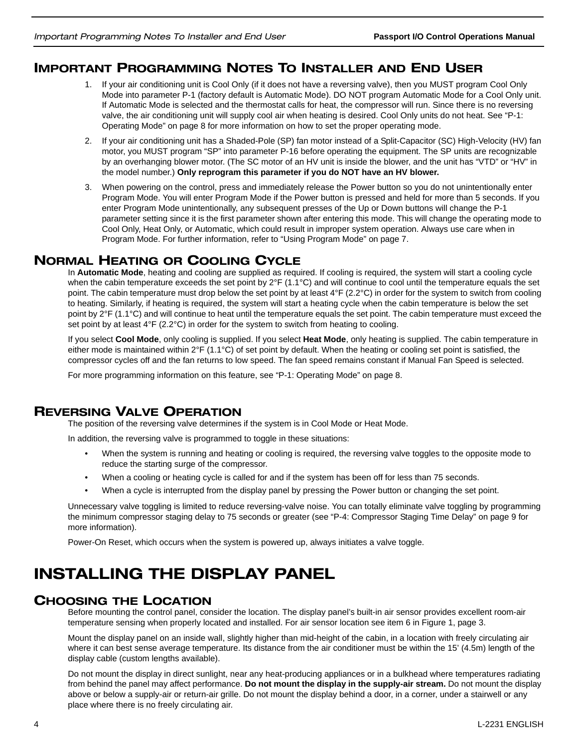## IMPORTANT PROGRAMMING NOTES TO INSTALLER AND END USER

- 1. If your air conditioning unit is Cool Only (if it does not have a reversing valve), then you MUST program Cool Only Mode into parameter P-1 (factory default is Automatic Mode). DO NOT program Automatic Mode for a Cool Only unit. If Automatic Mode is selected and the thermostat calls for heat, the compressor will run. Since there is no reversing valve, the air conditioning unit will supply cool air when heating is desired. Cool Only units do not heat. See "P-1: Operating Mode" on page 8 for more information on how to set the proper operating mode.
- 2. If your air conditioning unit has a Shaded-Pole (SP) fan motor instead of a Split-Capacitor (SC) High-Velocity (HV) fan motor, you MUST program "SP" into parameter P-16 before operating the equipment. The SP units are recognizable by an overhanging blower motor. (The SC motor of an HV unit is inside the blower, and the unit has "VTD" or "HV" in the model number.) **Only reprogram this parameter if you do NOT have an HV blower.**
- 3. When powering on the control, press and immediately release the Power button so you do not unintentionally enter Program Mode. You will enter Program Mode if the Power button is pressed and held for more than 5 seconds. If you enter Program Mode unintentionally, any subsequent presses of the Up or Down buttons will change the P-1 parameter setting since it is the first parameter shown after entering this mode. This will change the operating mode to Cool Only, Heat Only, or Automatic, which could result in improper system operation. Always use care when in Program Mode. For further information, refer to "Using Program Mode" on page 7.

## NORMAL HEATING OR COOLING CYCLE

In **Automatic Mode**, heating and cooling are supplied as required. If cooling is required, the system will start a cooling cycle when the cabin temperature exceeds the set point by  $2^{\circ}F$  (1.1 $^{\circ}C$ ) and will continue to cool until the temperature equals the set point. The cabin temperature must drop below the set point by at least 4°F (2.2°C) in order for the system to switch from cooling to heating. Similarly, if heating is required, the system will start a heating cycle when the cabin temperature is below the set point by 2°F (1.1°C) and will continue to heat until the temperature equals the set point. The cabin temperature must exceed the set point by at least  $4^{\circ}F(2.2^{\circ}C)$  in order for the system to switch from heating to cooling.

If you select **Cool Mode**, only cooling is supplied. If you select **Heat Mode**, only heating is supplied. The cabin temperature in either mode is maintained within 2°F (1.1°C) of set point by default. When the heating or cooling set point is satisfied, the compressor cycles off and the fan returns to low speed. The fan speed remains constant if Manual Fan Speed is selected.

For more programming information on this feature, see "P-1: Operating Mode" on page 8.

## REVERSING VALVE OPERATION

The position of the reversing valve determines if the system is in Cool Mode or Heat Mode.

In addition, the reversing valve is programmed to toggle in these situations:

- When the system is running and heating or cooling is required, the reversing valve toggles to the opposite mode to reduce the starting surge of the compressor.
- When a cooling or heating cycle is called for and if the system has been off for less than 75 seconds.
- When a cycle is interrupted from the display panel by pressing the Power button or changing the set point.

Unnecessary valve toggling is limited to reduce reversing-valve noise. You can totally eliminate valve toggling by programming the minimum compressor staging delay to 75 seconds or greater (see "P-4: Compressor Staging Time Delay" on page 9 for more information).

Power-On Reset, which occurs when the system is powered up, always initiates a valve toggle.

## INSTALLING THE DISPLAY PANEL

## CHOOSING THE LOCATION

Before mounting the control panel, consider the location. The display panel's built-in air sensor provides excellent room-air temperature sensing when properly located and installed. For air sensor location see item 6 in Figure 1, page 3.

Mount the display panel on an inside wall, slightly higher than mid-height of the cabin, in a location with freely circulating air where it can best sense average temperature. Its distance from the air conditioner must be within the 15' (4.5m) length of the display cable (custom lengths available).

Do not mount the display in direct sunlight, near any heat-producing appliances or in a bulkhead where temperatures radiating from behind the panel may affect performance. **Do not mount the display in the supply-air stream.** Do not mount the display above or below a supply-air or return-air grille. Do not mount the display behind a door, in a corner, under a stairwell or any place where there is no freely circulating air.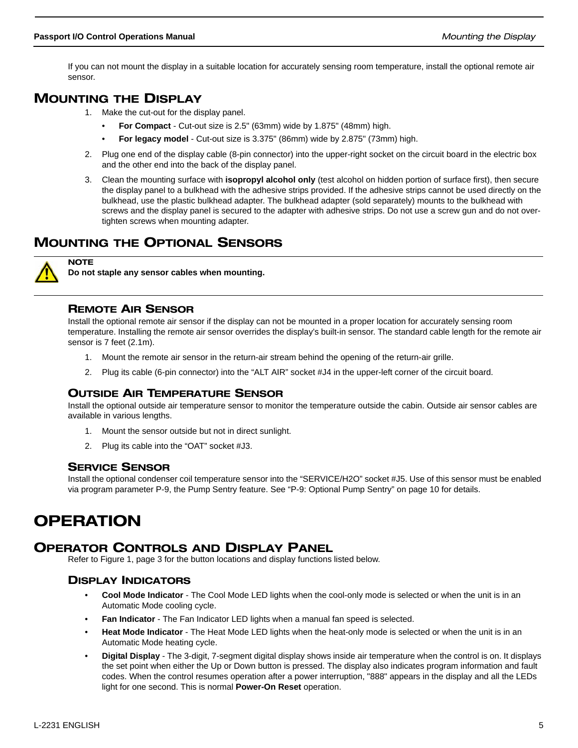If you can not mount the display in a suitable location for accurately sensing room temperature, install the optional remote air sensor.

## MOUNTING THE DISPLAY

- 1. Make the cut-out for the display panel.
	- **For Compact**  Cut-out size is 2.5" (63mm) wide by 1.875" (48mm) high.
	- **For legacy model** Cut-out size is 3.375" (86mm) wide by 2.875" (73mm) high.
- 2. Plug one end of the display cable (8-pin connector) into the upper-right socket on the circuit board in the electric box and the other end into the back of the display panel.
- 3. Clean the mounting surface with **isopropyl alcohol only** (test alcohol on hidden portion of surface first), then secure the display panel to a bulkhead with the adhesive strips provided. If the adhesive strips cannot be used directly on the bulkhead, use the plastic bulkhead adapter. The bulkhead adapter (sold separately) mounts to the bulkhead with screws and the display panel is secured to the adapter with adhesive strips. Do not use a screw gun and do not overtighten screws when mounting adapter.

## MOUNTING THE OPTIONAL SENSORS



**NOTE** 

**Do not staple any sensor cables when mounting.**

## REMOTE AIR SENSOR

Install the optional remote air sensor if the display can not be mounted in a proper location for accurately sensing room temperature. Installing the remote air sensor overrides the display's built-in sensor. The standard cable length for the remote air sensor is 7 feet (2.1m).

- 1. Mount the remote air sensor in the return-air stream behind the opening of the return-air grille.
- 2. Plug its cable (6-pin connector) into the "ALT AIR" socket #J4 in the upper-left corner of the circuit board.

## OUTSIDE AIR TEMPERATURE SENSOR

Install the optional outside air temperature sensor to monitor the temperature outside the cabin. Outside air sensor cables are available in various lengths.

- 1. Mount the sensor outside but not in direct sunlight.
- 2. Plug its cable into the "OAT" socket #J3.

#### SERVICE SENSOR

Install the optional condenser coil temperature sensor into the "SERVICE/H2O" socket #J5. Use of this sensor must be enabled via program parameter P-9, the Pump Sentry feature. See "P-9: Optional Pump Sentry" on page 10 for details.

## OPERATION

## OPERATOR CONTROLS AND DISPLAY PANEL

Refer to Figure 1, page 3 for the button locations and display functions listed below.

## DISPLAY INDICATORS

- **Cool Mode Indicator**  The Cool Mode LED lights when the cool-only mode is selected or when the unit is in an Automatic Mode cooling cycle.
- **Fan Indicator** The Fan Indicator LED lights when a manual fan speed is selected.
- **Heat Mode Indicator**  The Heat Mode LED lights when the heat-only mode is selected or when the unit is in an Automatic Mode heating cycle.
- **Digital Display**  The 3-digit, 7-segment digital display shows inside air temperature when the control is on. It displays the set point when either the Up or Down button is pressed. The display also indicates program information and fault codes. When the control resumes operation after a power interruption, "888" appears in the display and all the LEDs light for one second. This is normal **Power-On Reset** operation.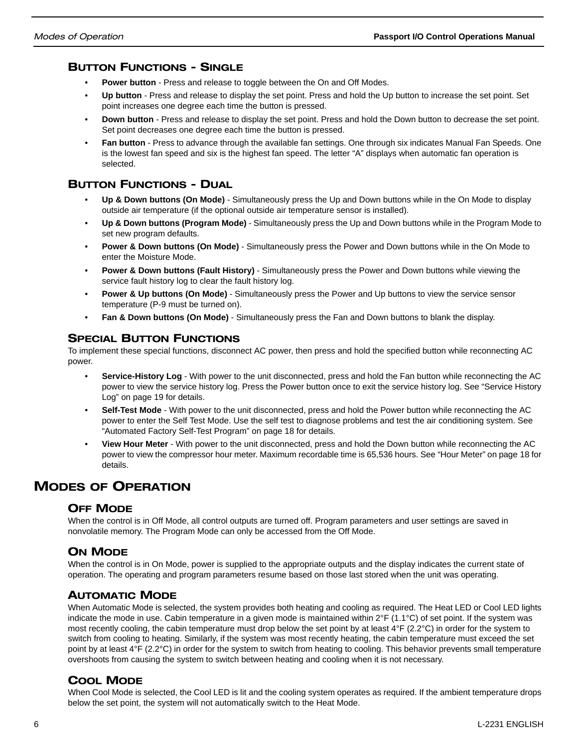## BUTTON FUNCTIONS - SINGLE

- **Power button** Press and release to toggle between the On and Off Modes.
- **Up button** Press and release to display the set point. Press and hold the Up button to increase the set point. Set point increases one degree each time the button is pressed.
- **Down button**  Press and release to display the set point. Press and hold the Down button to decrease the set point. Set point decreases one degree each time the button is pressed.
- **Fan button** Press to advance through the available fan settings. One through six indicates Manual Fan Speeds. One is the lowest fan speed and six is the highest fan speed. The letter "A" displays when automatic fan operation is selected.

## BUTTON FUNCTIONS - DUAL

- **Up & Down buttons (On Mode)** Simultaneously press the Up and Down buttons while in the On Mode to display outside air temperature (if the optional outside air temperature sensor is installed).
- **Up & Down buttons (Program Mode)** Simultaneously press the Up and Down buttons while in the Program Mode to set new program defaults.
- **Power & Down buttons (On Mode)** Simultaneously press the Power and Down buttons while in the On Mode to enter the Moisture Mode.
- **Power & Down buttons (Fault History)** Simultaneously press the Power and Down buttons while viewing the service fault history log to clear the fault history log.
- **Power & Up buttons (On Mode)** Simultaneously press the Power and Up buttons to view the service sensor temperature (P-9 must be turned on).
- **Fan & Down buttons (On Mode)** Simultaneously press the Fan and Down buttons to blank the display.

## SPECIAL BUTTON FUNCTIONS

To implement these special functions, disconnect AC power, then press and hold the specified button while reconnecting AC power.

- **Service-History Log** With power to the unit disconnected, press and hold the Fan button while reconnecting the AC power to view the service history log. Press the Power button once to exit the service history log. See "Service History Log" on page 19 for details.
- **Self-Test Mode** With power to the unit disconnected, press and hold the Power button while reconnecting the AC power to enter the Self Test Mode. Use the self test to diagnose problems and test the air conditioning system. See "Automated Factory Self-Test Program" on page 18 for details.
- **View Hour Meter** With power to the unit disconnected, press and hold the Down button while reconnecting the AC power to view the compressor hour meter. Maximum recordable time is 65,536 hours. See "Hour Meter" on page 18 for details.

## MODES OF OPERATION

## OFF MODE

When the control is in Off Mode, all control outputs are turned off. Program parameters and user settings are saved in nonvolatile memory. The Program Mode can only be accessed from the Off Mode.

## ON MODE

When the control is in On Mode, power is supplied to the appropriate outputs and the display indicates the current state of operation. The operating and program parameters resume based on those last stored when the unit was operating.

## AUTOMATIC MODE

When Automatic Mode is selected, the system provides both heating and cooling as required. The Heat LED or Cool LED lights indicate the mode in use. Cabin temperature in a given mode is maintained within 2°F (1.1°C) of set point. If the system was most recently cooling, the cabin temperature must drop below the set point by at least 4°F (2.2°C) in order for the system to switch from cooling to heating. Similarly, if the system was most recently heating, the cabin temperature must exceed the set point by at least 4°F (2.2°C) in order for the system to switch from heating to cooling. This behavior prevents small temperature overshoots from causing the system to switch between heating and cooling when it is not necessary.

## COOL MODE

When Cool Mode is selected, the Cool LED is lit and the cooling system operates as required. If the ambient temperature drops below the set point, the system will not automatically switch to the Heat Mode.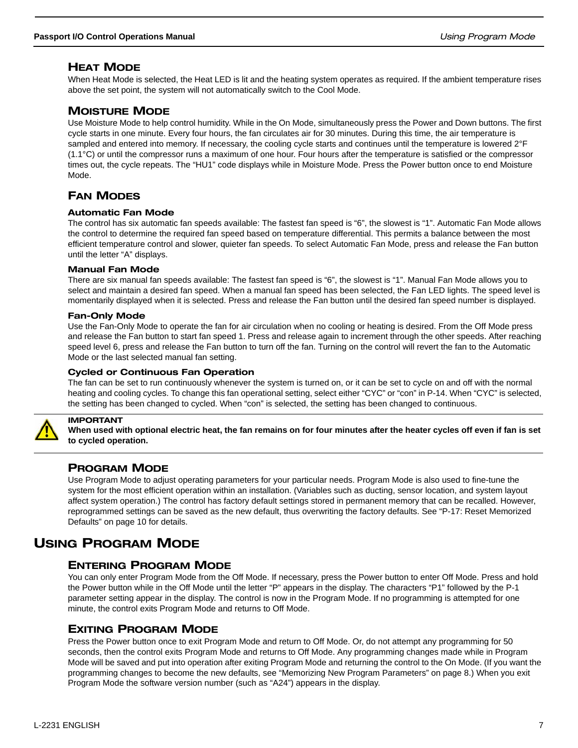## HEAT MODE

When Heat Mode is selected, the Heat LED is lit and the heating system operates as required. If the ambient temperature rises above the set point, the system will not automatically switch to the Cool Mode.

## MOISTURE MODE

Use Moisture Mode to help control humidity. While in the On Mode, simultaneously press the Power and Down buttons. The first cycle starts in one minute. Every four hours, the fan circulates air for 30 minutes. During this time, the air temperature is sampled and entered into memory. If necessary, the cooling cycle starts and continues until the temperature is lowered 2°F (1.1°C) or until the compressor runs a maximum of one hour. Four hours after the temperature is satisfied or the compressor times out, the cycle repeats. The "HU1" code displays while in Moisture Mode. Press the Power button once to end Moisture Mode.

## FAN MODES

#### Automatic Fan Mode

The control has six automatic fan speeds available: The fastest fan speed is "6", the slowest is "1". Automatic Fan Mode allows the control to determine the required fan speed based on temperature differential. This permits a balance between the most efficient temperature control and slower, quieter fan speeds. To select Automatic Fan Mode, press and release the Fan button until the letter "A" displays.

#### Manual Fan Mode

There are six manual fan speeds available: The fastest fan speed is "6", the slowest is "1". Manual Fan Mode allows you to select and maintain a desired fan speed. When a manual fan speed has been selected, the Fan LED lights. The speed level is momentarily displayed when it is selected. Press and release the Fan button until the desired fan speed number is displayed.

#### Fan-Only Mode

Use the Fan-Only Mode to operate the fan for air circulation when no cooling or heating is desired. From the Off Mode press and release the Fan button to start fan speed 1. Press and release again to increment through the other speeds. After reaching speed level 6, press and release the Fan button to turn off the fan. Turning on the control will revert the fan to the Automatic Mode or the last selected manual fan setting.

#### Cycled or Continuous Fan Operation

The fan can be set to run continuously whenever the system is turned on, or it can be set to cycle on and off with the normal heating and cooling cycles. To change this fan operational setting, select either "CYC" or "con" in P-14. When "CYC" is selected, the setting has been changed to cycled. When "con" is selected, the setting has been changed to continuous.



## IMPORTANT

**When used with optional electric heat, the fan remains on for four minutes after the heater cycles off even if fan is set to cycled operation.**

## PROGRAM MODE

Use Program Mode to adjust operating parameters for your particular needs. Program Mode is also used to fine-tune the system for the most efficient operation within an installation. (Variables such as ducting, sensor location, and system layout affect system operation.) The control has factory default settings stored in permanent memory that can be recalled. However, reprogrammed settings can be saved as the new default, thus overwriting the factory defaults. See "P-17: Reset Memorized Defaults" on page 10 for details.

## USING PROGRAM MODE

## ENTERING PROGRAM MODE

You can only enter Program Mode from the Off Mode. If necessary, press the Power button to enter Off Mode. Press and hold the Power button while in the Off Mode until the letter "P" appears in the display. The characters "P1" followed by the P-1 parameter setting appear in the display. The control is now in the Program Mode. If no programming is attempted for one minute, the control exits Program Mode and returns to Off Mode.

## EXITING PROGRAM MODE

Press the Power button once to exit Program Mode and return to Off Mode. Or, do not attempt any programming for 50 seconds, then the control exits Program Mode and returns to Off Mode. Any programming changes made while in Program Mode will be saved and put into operation after exiting Program Mode and returning the control to the On Mode. (If you want the programming changes to become the new defaults, see "Memorizing New Program Parameters" on page 8.) When you exit Program Mode the software version number (such as "A24") appears in the display.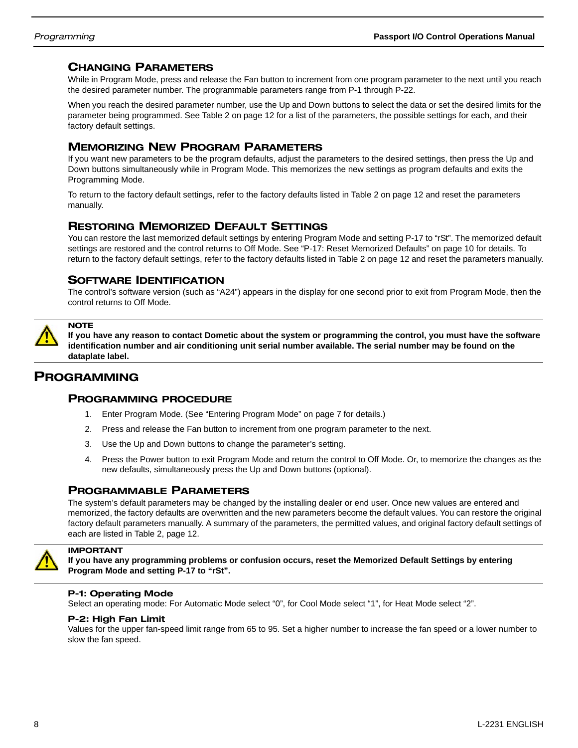## CHANGING PARAMETERS

While in Program Mode, press and release the Fan button to increment from one program parameter to the next until you reach the desired parameter number. The programmable parameters range from P-1 through P-22.

When you reach the desired parameter number, use the Up and Down buttons to select the data or set the desired limits for the parameter being programmed. See Table 2 on page 12 for a list of the parameters, the possible settings for each, and their factory default settings.

## MEMORIZING NEW PROGRAM PARAMETERS

If you want new parameters to be the program defaults, adjust the parameters to the desired settings, then press the Up and Down buttons simultaneously while in Program Mode. This memorizes the new settings as program defaults and exits the Programming Mode.

To return to the factory default settings, refer to the factory defaults listed in Table 2 on page 12 and reset the parameters manually.

## RESTORING MEMORIZED DEFAULT SETTINGS

You can restore the last memorized default settings by entering Program Mode and setting P-17 to "rSt". The memorized default settings are restored and the control returns to Off Mode. See "P-17: Reset Memorized Defaults" on page 10 for details. To return to the factory default settings, refer to the factory defaults listed in Table 2 on page 12 and reset the parameters manually.

## SOFTWARE IDENTIFICATION

The control's software version (such as "A24") appears in the display for one second prior to exit from Program Mode, then the control returns to Off Mode.



**If you have any reason to contact Dometic about the system or programming the control, you must have the software identification number and air conditioning unit serial number available. The serial number may be found on the dataplate label.**

## PROGRAMMING

#### PROGRAMMING PROCEDURE

- 1. Enter Program Mode. (See "Entering Program Mode" on page 7 for details.)
- 2. Press and release the Fan button to increment from one program parameter to the next.
- 3. Use the Up and Down buttons to change the parameter's setting.
- 4. Press the Power button to exit Program Mode and return the control to Off Mode. Or, to memorize the changes as the new defaults, simultaneously press the Up and Down buttons (optional).

## PROGRAMMABLE PARAMETERS

The system's default parameters may be changed by the installing dealer or end user. Once new values are entered and memorized, the factory defaults are overwritten and the new parameters become the default values. You can restore the original factory default parameters manually. A summary of the parameters, the permitted values, and original factory default settings of each are listed in Table 2, page 12.



## IMPORTANT

**If you have any programming problems or confusion occurs, reset the Memorized Default Settings by entering Program Mode and setting P-17 to "rSt".**

#### P-1: Operating Mode

Select an operating mode: For Automatic Mode select "0", for Cool Mode select "1", for Heat Mode select "2".

#### P-2: High Fan Limit

Values for the upper fan-speed limit range from 65 to 95. Set a higher number to increase the fan speed or a lower number to slow the fan speed.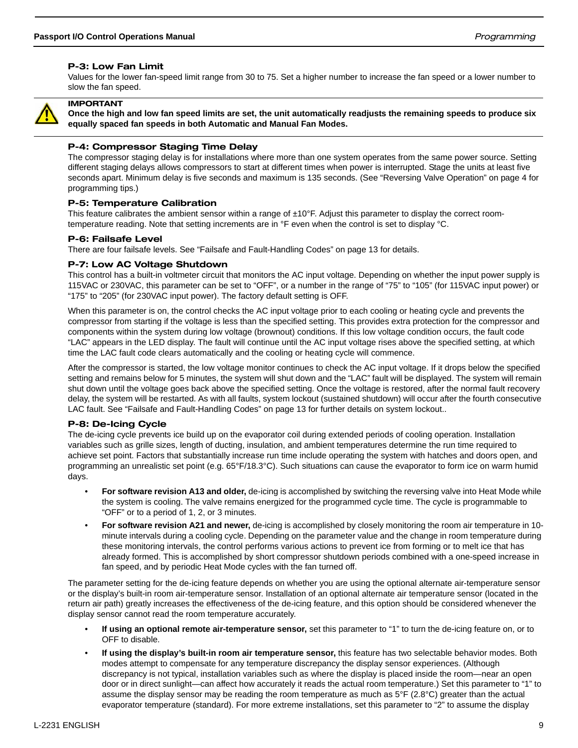#### P-3: Low Fan Limit

Values for the lower fan-speed limit range from 30 to 75. Set a higher number to increase the fan speed or a lower number to slow the fan speed.



#### IMPORTANT

**Once the high and low fan speed limits are set, the unit automatically readjusts the remaining speeds to produce six equally spaced fan speeds in both Automatic and Manual Fan Modes.**

#### P-4: Compressor Staging Time Delay

The compressor staging delay is for installations where more than one system operates from the same power source. Setting different staging delays allows compressors to start at different times when power is interrupted. Stage the units at least five seconds apart. Minimum delay is five seconds and maximum is 135 seconds. (See "Reversing Valve Operation" on page 4 for programming tips.)

#### P-5: Temperature Calibration

This feature calibrates the ambient sensor within a range of  $\pm 10^\circ$ F. Adjust this parameter to display the correct roomtemperature reading. Note that setting increments are in °F even when the control is set to display °C.

#### P-6: Failsafe Level

There are four failsafe levels. See "Failsafe and Fault-Handling Codes" on page 13 for details.

#### P-7: Low AC Voltage Shutdown

This control has a built-in voltmeter circuit that monitors the AC input voltage. Depending on whether the input power supply is 115VAC or 230VAC, this parameter can be set to "OFF", or a number in the range of "75" to "105" (for 115VAC input power) or "175" to "205" (for 230VAC input power). The factory default setting is OFF.

When this parameter is on, the control checks the AC input voltage prior to each cooling or heating cycle and prevents the compressor from starting if the voltage is less than the specified setting. This provides extra protection for the compressor and components within the system during low voltage (brownout) conditions. If this low voltage condition occurs, the fault code "LAC" appears in the LED display. The fault will continue until the AC input voltage rises above the specified setting, at which time the LAC fault code clears automatically and the cooling or heating cycle will commence.

After the compressor is started, the low voltage monitor continues to check the AC input voltage. If it drops below the specified setting and remains below for 5 minutes, the system will shut down and the "LAC" fault will be displayed. The system will remain shut down until the voltage goes back above the specified setting. Once the voltage is restored, after the normal fault recovery delay, the system will be restarted. As with all faults, system lockout (sustained shutdown) will occur after the fourth consecutive LAC fault. See "Failsafe and Fault-Handling Codes" on page 13 for further details on system lockout..

#### P-8: De-Icing Cycle

The de-icing cycle prevents ice build up on the evaporator coil during extended periods of cooling operation. Installation variables such as grille sizes, length of ducting, insulation, and ambient temperatures determine the run time required to achieve set point. Factors that substantially increase run time include operating the system with hatches and doors open, and programming an unrealistic set point (e.g. 65°F/18.3°C). Such situations can cause the evaporator to form ice on warm humid days.

- **For software revision A13 and older,** de-icing is accomplished by switching the reversing valve into Heat Mode while the system is cooling. The valve remains energized for the programmed cycle time. The cycle is programmable to "OFF" or to a period of 1, 2, or 3 minutes.
- **For software revision A21 and newer,** de-icing is accomplished by closely monitoring the room air temperature in 10 minute intervals during a cooling cycle. Depending on the parameter value and the change in room temperature during these monitoring intervals, the control performs various actions to prevent ice from forming or to melt ice that has already formed. This is accomplished by short compressor shutdown periods combined with a one-speed increase in fan speed, and by periodic Heat Mode cycles with the fan turned off.

The parameter setting for the de-icing feature depends on whether you are using the optional alternate air-temperature sensor or the display's built-in room air-temperature sensor. Installation of an optional alternate air temperature sensor (located in the return air path) greatly increases the effectiveness of the de-icing feature, and this option should be considered whenever the display sensor cannot read the room temperature accurately.

- **If using an optional remote air-temperature sensor,** set this parameter to "1" to turn the de-icing feature on, or to OFF to disable.
- **If using the display's built-in room air temperature sensor,** this feature has two selectable behavior modes. Both modes attempt to compensate for any temperature discrepancy the display sensor experiences. (Although discrepancy is not typical, installation variables such as where the display is placed inside the room—near an open door or in direct sunlight—can affect how accurately it reads the actual room temperature.) Set this parameter to "1" to assume the display sensor may be reading the room temperature as much as 5°F (2.8°C) greater than the actual evaporator temperature (standard). For more extreme installations, set this parameter to "2" to assume the display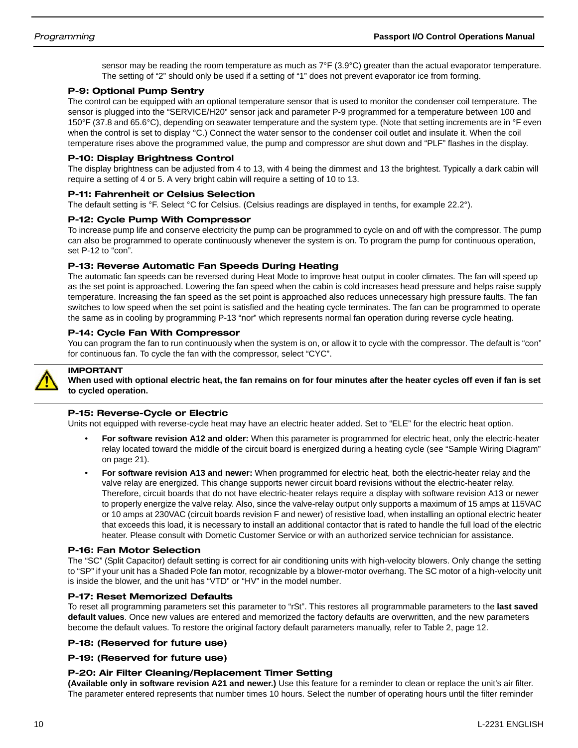sensor may be reading the room temperature as much as  $7^{\circ}F$  (3.9 $^{\circ}C$ ) greater than the actual evaporator temperature. The setting of "2" should only be used if a setting of "1" does not prevent evaporator ice from forming.

#### P-9: Optional Pump Sentry

The control can be equipped with an optional temperature sensor that is used to monitor the condenser coil temperature. The sensor is plugged into the "SERVICE/H20" sensor jack and parameter P-9 programmed for a temperature between 100 and 150°F (37.8 and 65.6°C), depending on seawater temperature and the system type. (Note that setting increments are in °F even when the control is set to display °C.) Connect the water sensor to the condenser coil outlet and insulate it. When the coil temperature rises above the programmed value, the pump and compressor are shut down and "PLF" flashes in the display.

#### P-10: Display Brightness Control

The display brightness can be adjusted from 4 to 13, with 4 being the dimmest and 13 the brightest. Typically a dark cabin will require a setting of 4 or 5. A very bright cabin will require a setting of 10 to 13.

#### P-11: Fahrenheit or Celsius Selection

The default setting is °F. Select °C for Celsius. (Celsius readings are displayed in tenths, for example 22.2°).

#### P-12: Cycle Pump With Compressor

To increase pump life and conserve electricity the pump can be programmed to cycle on and off with the compressor. The pump can also be programmed to operate continuously whenever the system is on. To program the pump for continuous operation, set P-12 to "con".

#### P-13: Reverse Automatic Fan Speeds During Heating

The automatic fan speeds can be reversed during Heat Mode to improve heat output in cooler climates. The fan will speed up as the set point is approached. Lowering the fan speed when the cabin is cold increases head pressure and helps raise supply temperature. Increasing the fan speed as the set point is approached also reduces unnecessary high pressure faults. The fan switches to low speed when the set point is satisfied and the heating cycle terminates. The fan can be programmed to operate the same as in cooling by programming P-13 "nor" which represents normal fan operation during reverse cycle heating.

#### P-14: Cycle Fan With Compressor

You can program the fan to run continuously when the system is on, or allow it to cycle with the compressor. The default is "con" for continuous fan. To cycle the fan with the compressor, select "CYC".



## IMPORTANT

**When used with optional electric heat, the fan remains on for four minutes after the heater cycles off even if fan is set to cycled operation.**

#### P-15: Reverse-Cycle or Electric

Units not equipped with reverse-cycle heat may have an electric heater added. Set to "ELE" for the electric heat option.

- **For software revision A12 and older:** When this parameter is programmed for electric heat, only the electric-heater relay located toward the middle of the circuit board is energized during a heating cycle (see "Sample Wiring Diagram" on page 21).
- **For software revision A13 and newer:** When programmed for electric heat, both the electric-heater relay and the valve relay are energized. This change supports newer circuit board revisions without the electric-heater relay. Therefore, circuit boards that do not have electric-heater relays require a display with software revision A13 or newer to properly energize the valve relay. Also, since the valve-relay output only supports a maximum of 15 amps at 115VAC or 10 amps at 230VAC (circuit boards revision F and newer) of resistive load, when installing an optional electric heater that exceeds this load, it is necessary to install an additional contactor that is rated to handle the full load of the electric heater. Please consult with Dometic Customer Service or with an authorized service technician for assistance.

#### P-16: Fan Motor Selection

The "SC" (Split Capacitor) default setting is correct for air conditioning units with high-velocity blowers. Only change the setting to "SP" if your unit has a Shaded Pole fan motor, recognizable by a blower-motor overhang. The SC motor of a high-velocity unit is inside the blower, and the unit has "VTD" or "HV" in the model number.

#### P-17: Reset Memorized Defaults

To reset all programming parameters set this parameter to "rSt". This restores all programmable parameters to the **last saved default values**. Once new values are entered and memorized the factory defaults are overwritten, and the new parameters become the default values. To restore the original factory default parameters manually, refer to Table 2, page 12.

#### P-18: (Reserved for future use)

#### P-19: (Reserved for future use)

#### P-20: Air Filter Cleaning/Replacement Timer Setting

**(Available only in software revision A21 and newer.)** Use this feature for a reminder to clean or replace the unit's air filter. The parameter entered represents that number times 10 hours. Select the number of operating hours until the filter reminder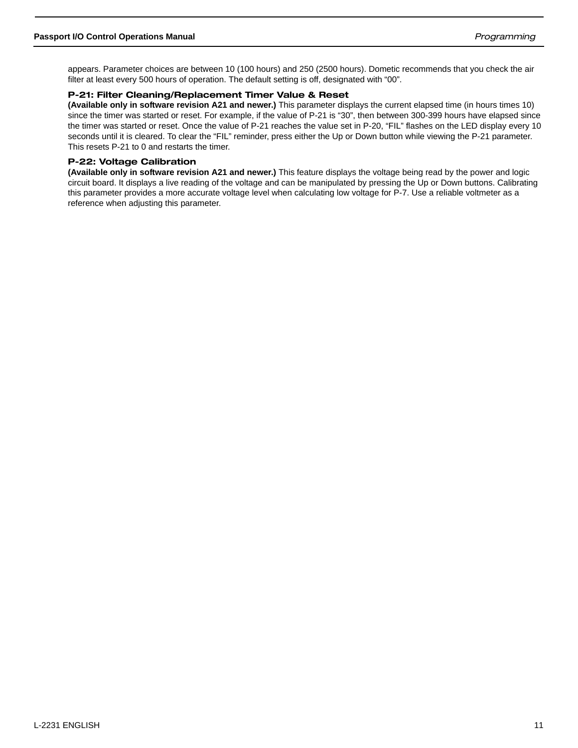appears. Parameter choices are between 10 (100 hours) and 250 (2500 hours). Dometic recommends that you check the air filter at least every 500 hours of operation. The default setting is off, designated with "00".

#### P-21: Filter Cleaning/Replacement Timer Value & Reset

**(Available only in software revision A21 and newer.)** This parameter displays the current elapsed time (in hours times 10) since the timer was started or reset. For example, if the value of P-21 is "30", then between 300-399 hours have elapsed since the timer was started or reset. Once the value of P-21 reaches the value set in P-20, "FIL" flashes on the LED display every 10 seconds until it is cleared. To clear the "FIL" reminder, press either the Up or Down button while viewing the P-21 parameter. This resets P-21 to 0 and restarts the timer.

#### P-22: Voltage Calibration

**(Available only in software revision A21 and newer.)** This feature displays the voltage being read by the power and logic circuit board. It displays a live reading of the voltage and can be manipulated by pressing the Up or Down buttons. Calibrating this parameter provides a more accurate voltage level when calculating low voltage for P-7. Use a reliable voltmeter as a reference when adjusting this parameter.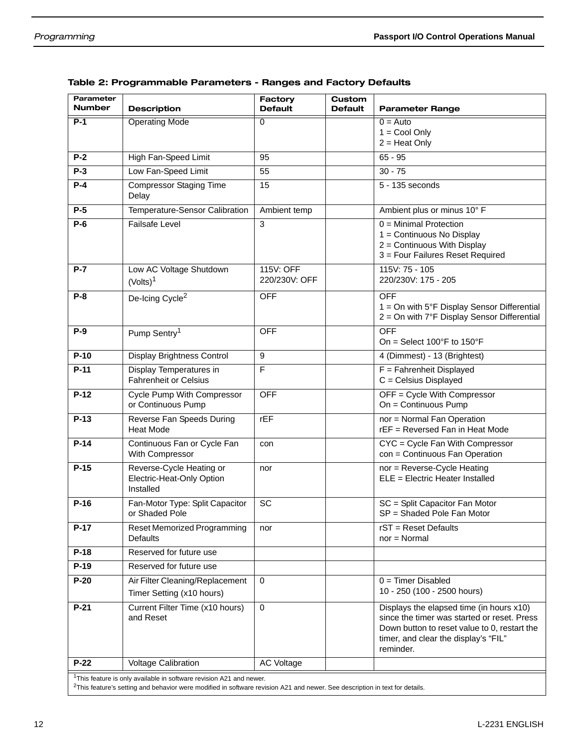| Parameter<br><b>Number</b>                                                      | <b>Description</b>                                                 | <b>Factory</b><br><b>Default</b> | Custom<br><b>Default</b> | <b>Parameter Range</b>                                                                                                                           |
|---------------------------------------------------------------------------------|--------------------------------------------------------------------|----------------------------------|--------------------------|--------------------------------------------------------------------------------------------------------------------------------------------------|
| $P-1$                                                                           | <b>Operating Mode</b>                                              | $\Omega$                         |                          | $0 =$ Auto                                                                                                                                       |
|                                                                                 |                                                                    |                                  |                          | $1 = \text{Cool Only}$<br>$2 =$ Heat Only                                                                                                        |
| $P-2$                                                                           | High Fan-Speed Limit                                               | 95                               |                          | $65 - 95$                                                                                                                                        |
| $P-3$                                                                           | Low Fan-Speed Limit                                                | 55                               |                          | $30 - 75$                                                                                                                                        |
| $P-4$                                                                           | <b>Compressor Staging Time</b><br>Delay                            | 15                               |                          | 5 - 135 seconds                                                                                                                                  |
| $P-5$                                                                           | Temperature-Sensor Calibration                                     | Ambient temp                     |                          | Ambient plus or minus 10° F                                                                                                                      |
| $P-6$                                                                           | <b>Failsafe Level</b>                                              | 3                                |                          | $0 =$ Minimal Protection<br>1 = Continuous No Display<br>2 = Continuous With Display<br>3 = Four Failures Reset Required                         |
| $P-7$                                                                           | Low AC Voltage Shutdown<br>(Volts) <sup>1</sup>                    | 115V: OFF<br>220/230V: OFF       |                          | 115V: 75 - 105<br>220/230V: 175 - 205                                                                                                            |
| $P-8$                                                                           | De-Icing Cycle <sup>2</sup>                                        | <b>OFF</b>                       |                          | <b>OFF</b><br>1 = On with 5°F Display Sensor Differential<br>2 = On with 7°F Display Sensor Differential                                         |
| $P-9$                                                                           | Pump Sentry <sup>1</sup>                                           | <b>OFF</b>                       |                          | <b>OFF</b><br>On = Select $100^{\circ}$ F to $150^{\circ}$ F                                                                                     |
| $P-10$                                                                          | Display Brightness Control                                         | 9                                |                          | 4 (Dimmest) - 13 (Brightest)                                                                                                                     |
| $P-11$                                                                          | Display Temperatures in<br><b>Fahrenheit or Celsius</b>            | F                                |                          | $F =$ Fahrenheit Displayed<br>$C =$ Celsius Displayed                                                                                            |
| $P-12$                                                                          | Cycle Pump With Compressor<br>or Continuous Pump                   | <b>OFF</b>                       |                          | OFF = Cycle With Compressor<br>On = Continuous Pump                                                                                              |
| $P-13$                                                                          | Reverse Fan Speeds During<br><b>Heat Mode</b>                      | FEF                              |                          | nor = Normal Fan Operation<br>rEF = Reversed Fan in Heat Mode                                                                                    |
| $P-14$                                                                          | Continuous Fan or Cycle Fan<br>With Compressor                     | con                              |                          | CYC = Cycle Fan With Compressor<br>con = Continuous Fan Operation                                                                                |
| $P-15$                                                                          | Reverse-Cycle Heating or<br>Electric-Heat-Only Option<br>Installed | nor                              |                          | nor = Reverse-Cycle Heating<br>ELE = Electric Heater Installed                                                                                   |
| $P-16$                                                                          | Fan-Motor Type: Split Capacitor<br>or Shaded Pole                  | SC                               |                          | SC = Split Capacitor Fan Motor<br>SP = Shaded Pole Fan Motor                                                                                     |
| $P-17$                                                                          | Reset Memorized Programming<br><b>Defaults</b>                     | nor                              |                          | rST = Reset Defaults<br>$nor = Normal$                                                                                                           |
| $P-18$                                                                          | Reserved for future use                                            |                                  |                          |                                                                                                                                                  |
| $P-19$                                                                          | Reserved for future use                                            |                                  |                          |                                                                                                                                                  |
| $P-20$                                                                          | Air Filter Cleaning/Replacement                                    | $\mathbf 0$                      |                          | $0 =$ Timer Disabled<br>10 - 250 (100 - 2500 hours)                                                                                              |
| $P-21$                                                                          | Timer Setting (x10 hours)<br>Current Filter Time (x10 hours)       | $\mathbf 0$                      |                          | Displays the elapsed time (in hours x10)                                                                                                         |
|                                                                                 | and Reset                                                          |                                  |                          | since the timer was started or reset. Press<br>Down button to reset value to 0, restart the<br>timer, and clear the display's "FIL"<br>reminder. |
| $P-22$                                                                          | <b>Voltage Calibration</b>                                         | <b>AC Voltage</b>                |                          |                                                                                                                                                  |
| <sup>1</sup> This feature is only available in software revision A21 and newer. |                                                                    |                                  |                          |                                                                                                                                                  |

#### Table 2: Programmable Parameters - Ranges and Factory Defaults

 $2$ This feature's setting and behavior were modified in software revision A21 and newer. See description in text for details.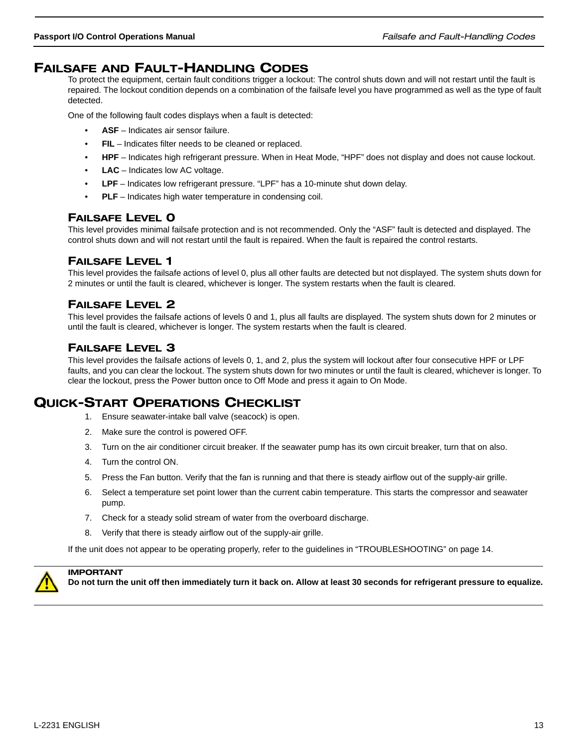## FAILSAFE AND FAULT-HANDLING CODES

To protect the equipment, certain fault conditions trigger a lockout: The control shuts down and will not restart until the fault is repaired. The lockout condition depends on a combination of the failsafe level you have programmed as well as the type of fault detected.

One of the following fault codes displays when a fault is detected:

- **ASF** Indicates air sensor failure.
- **FIL** Indicates filter needs to be cleaned or replaced.
- **HPF**  Indicates high refrigerant pressure. When in Heat Mode, "HPF" does not display and does not cause lockout.
- **LAC** Indicates low AC voltage.
- **LPF** Indicates low refrigerant pressure. "LPF" has a 10-minute shut down delay.
- **PLF** Indicates high water temperature in condensing coil.

## FAILSAFE LEVEL 0

This level provides minimal failsafe protection and is not recommended. Only the "ASF" fault is detected and displayed. The control shuts down and will not restart until the fault is repaired. When the fault is repaired the control restarts.

## FAILSAFE LEVEL 1

This level provides the failsafe actions of level 0, plus all other faults are detected but not displayed. The system shuts down for 2 minutes or until the fault is cleared, whichever is longer. The system restarts when the fault is cleared.

## FAILSAFE LEVEL 2

This level provides the failsafe actions of levels 0 and 1, plus all faults are displayed. The system shuts down for 2 minutes or until the fault is cleared, whichever is longer. The system restarts when the fault is cleared.

## FAILSAFE LEVEL 3

This level provides the failsafe actions of levels 0, 1, and 2, plus the system will lockout after four consecutive HPF or LPF faults, and you can clear the lockout. The system shuts down for two minutes or until the fault is cleared, whichever is longer. To clear the lockout, press the Power button once to Off Mode and press it again to On Mode.

## QUICK-START OPERATIONS CHECKLIST

- 1. Ensure seawater-intake ball valve (seacock) is open.
- 2. Make sure the control is powered OFF.
- 3. Turn on the air conditioner circuit breaker. If the seawater pump has its own circuit breaker, turn that on also.
- 4. Turn the control ON.
- 5. Press the Fan button. Verify that the fan is running and that there is steady airflow out of the supply-air grille.
- 6. Select a temperature set point lower than the current cabin temperature. This starts the compressor and seawater pump.
- 7. Check for a steady solid stream of water from the overboard discharge.
- 8. Verify that there is steady airflow out of the supply-air grille.

If the unit does not appear to be operating properly, refer to the guidelines in "TROUBLESHOOTING" on page 14.



## IMPORTANT

**Do not turn the unit off then immediately turn it back on. Allow at least 30 seconds for refrigerant pressure to equalize.**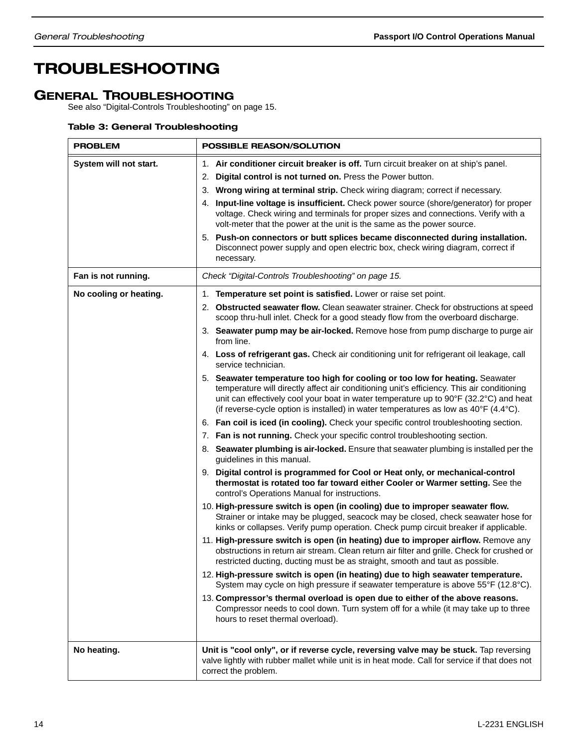## TROUBLESHOOTING

## GENERAL TROUBLESHOOTING

See also "Digital-Controls Troubleshooting" on page 15.

## Table 3: General Troubleshooting

| <b>PROBLEM</b>         | POSSIBLE REASON/SOLUTION                                                                                                                                                                                                                                                                                                                                                                                                                                                                                                                                                                                                                                                                                                                                                                                                                                                                                                                                                                                                                                                                                                                                                                                                                                                                                                                                                                                                                                                                                                                                                                                                                                                                                   |  |  |
|------------------------|------------------------------------------------------------------------------------------------------------------------------------------------------------------------------------------------------------------------------------------------------------------------------------------------------------------------------------------------------------------------------------------------------------------------------------------------------------------------------------------------------------------------------------------------------------------------------------------------------------------------------------------------------------------------------------------------------------------------------------------------------------------------------------------------------------------------------------------------------------------------------------------------------------------------------------------------------------------------------------------------------------------------------------------------------------------------------------------------------------------------------------------------------------------------------------------------------------------------------------------------------------------------------------------------------------------------------------------------------------------------------------------------------------------------------------------------------------------------------------------------------------------------------------------------------------------------------------------------------------------------------------------------------------------------------------------------------------|--|--|
| System will not start. | 1. Air conditioner circuit breaker is off. Turn circuit breaker on at ship's panel.<br>2. Digital control is not turned on. Press the Power button.<br>3. Wrong wiring at terminal strip. Check wiring diagram; correct if necessary.<br>Input-line voltage is insufficient. Check power source (shore/generator) for proper<br>4.<br>voltage. Check wiring and terminals for proper sizes and connections. Verify with a<br>volt-meter that the power at the unit is the same as the power source.<br>5. Push-on connectors or butt splices became disconnected during installation.<br>Disconnect power supply and open electric box, check wiring diagram, correct if<br>necessary.                                                                                                                                                                                                                                                                                                                                                                                                                                                                                                                                                                                                                                                                                                                                                                                                                                                                                                                                                                                                                     |  |  |
| Fan is not running.    | Check "Digital-Controls Troubleshooting" on page 15.                                                                                                                                                                                                                                                                                                                                                                                                                                                                                                                                                                                                                                                                                                                                                                                                                                                                                                                                                                                                                                                                                                                                                                                                                                                                                                                                                                                                                                                                                                                                                                                                                                                       |  |  |
| No cooling or heating. | 1. Temperature set point is satisfied. Lower or raise set point.<br>2. Obstructed seawater flow. Clean seawater strainer. Check for obstructions at speed<br>scoop thru-hull inlet. Check for a good steady flow from the overboard discharge.<br>3. Seawater pump may be air-locked. Remove hose from pump discharge to purge air<br>from line.<br>4. Loss of refrigerant gas. Check air conditioning unit for refrigerant oil leakage, call<br>service technician.<br>5. Seawater temperature too high for cooling or too low for heating. Seawater<br>temperature will directly affect air conditioning unit's efficiency. This air conditioning<br>unit can effectively cool your boat in water temperature up to 90°F (32.2°C) and heat<br>(if reverse-cycle option is installed) in water temperatures as low as 40°F (4.4°C).<br>6. Fan coil is iced (in cooling). Check your specific control troubleshooting section.<br>7. Fan is not running. Check your specific control troubleshooting section.<br>8. Seawater plumbing is air-locked. Ensure that seawater plumbing is installed per the<br>guidelines in this manual.<br>9. Digital control is programmed for Cool or Heat only, or mechanical-control<br>thermostat is rotated too far toward either Cooler or Warmer setting. See the<br>control's Operations Manual for instructions.<br>10. High-pressure switch is open (in cooling) due to improper seawater flow.<br>Strainer or intake may be plugged, seacock may be closed, check seawater hose for<br>kinks or collapses. Verify pump operation. Check pump circuit breaker if applicable.<br>11. High-pressure switch is open (in heating) due to improper airflow. Remove any |  |  |
| No heating.            | obstructions in return air stream. Clean return air filter and grille. Check for crushed or<br>restricted ducting, ducting must be as straight, smooth and taut as possible.<br>12. High-pressure switch is open (in heating) due to high seawater temperature.<br>System may cycle on high pressure if seawater temperature is above 55°F (12.8°C).<br>13. Compressor's thermal overload is open due to either of the above reasons.<br>Compressor needs to cool down. Turn system off for a while (it may take up to three<br>hours to reset thermal overload).<br>Unit is "cool only", or if reverse cycle, reversing valve may be stuck. Tap reversing<br>valve lightly with rubber mallet while unit is in heat mode. Call for service if that does not<br>correct the problem.                                                                                                                                                                                                                                                                                                                                                                                                                                                                                                                                                                                                                                                                                                                                                                                                                                                                                                                       |  |  |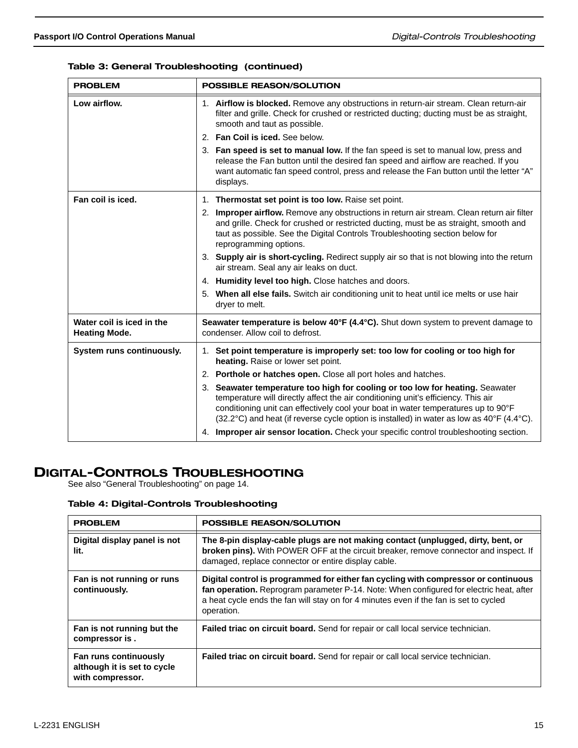#### Table 3: General Troubleshooting (continued)

| <b>PROBLEM</b>                                    | <b>POSSIBLE REASON/SOLUTION</b>                                                                                                                                                                                                                                                                                                                               |  |  |
|---------------------------------------------------|---------------------------------------------------------------------------------------------------------------------------------------------------------------------------------------------------------------------------------------------------------------------------------------------------------------------------------------------------------------|--|--|
| Low airflow.                                      | 1. Airflow is blocked. Remove any obstructions in return-air stream. Clean return-air<br>filter and grille. Check for crushed or restricted ducting; ducting must be as straight,<br>smooth and taut as possible.<br>2. Fan Coil is iced. See below.                                                                                                          |  |  |
|                                                   | 3. Fan speed is set to manual low. If the fan speed is set to manual low, press and<br>release the Fan button until the desired fan speed and airflow are reached. If you<br>want automatic fan speed control, press and release the Fan button until the letter "A"<br>displays.                                                                             |  |  |
| Fan coil is iced.                                 | 1. Thermostat set point is too low. Raise set point.                                                                                                                                                                                                                                                                                                          |  |  |
|                                                   | 2. Improper airflow. Remove any obstructions in return air stream. Clean return air filter<br>and grille. Check for crushed or restricted ducting, must be as straight, smooth and<br>taut as possible. See the Digital Controls Troubleshooting section below for<br>reprogramming options.                                                                  |  |  |
|                                                   | 3. Supply air is short-cycling. Redirect supply air so that is not blowing into the return<br>air stream. Seal any air leaks on duct.                                                                                                                                                                                                                         |  |  |
|                                                   | 4. Humidity level too high. Close hatches and doors.                                                                                                                                                                                                                                                                                                          |  |  |
|                                                   | 5. When all else fails. Switch air conditioning unit to heat until ice melts or use hair<br>dryer to melt.                                                                                                                                                                                                                                                    |  |  |
| Water coil is iced in the<br><b>Heating Mode.</b> | Seawater temperature is below 40°F (4.4°C). Shut down system to prevent damage to<br>condenser. Allow coil to defrost.                                                                                                                                                                                                                                        |  |  |
| System runs continuously.                         | 1. Set point temperature is improperly set: too low for cooling or too high for<br>heating. Raise or lower set point.                                                                                                                                                                                                                                         |  |  |
|                                                   | 2. Porthole or hatches open. Close all port holes and hatches.                                                                                                                                                                                                                                                                                                |  |  |
|                                                   | 3. Seawater temperature too high for cooling or too low for heating. Seawater<br>temperature will directly affect the air conditioning unit's efficiency. This air<br>conditioning unit can effectively cool your boat in water temperatures up to 90°F<br>$(32.2^{\circ}C)$ and heat (if reverse cycle option is installed) in water as low as 40°F (4.4°C). |  |  |
|                                                   | 4. Improper air sensor location. Check your specific control troubleshooting section.                                                                                                                                                                                                                                                                         |  |  |

## DIGITAL-CONTROLS TROUBLESHOOTING

See also "General Troubleshooting" on page 14.

#### Table 4: Digital-Controls Troubleshooting

| <b>PROBLEM</b>                                                                  | <b>POSSIBLE REASON/SOLUTION</b>                                                                                                                                                                                                                                                      |
|---------------------------------------------------------------------------------|--------------------------------------------------------------------------------------------------------------------------------------------------------------------------------------------------------------------------------------------------------------------------------------|
| Digital display panel is not<br>lit.                                            | The 8-pin display-cable plugs are not making contact (unplugged, dirty, bent, or<br>broken pins). With POWER OFF at the circuit breaker, remove connector and inspect. If<br>damaged, replace connector or entire display cable.                                                     |
| Fan is not running or runs<br>continuously.                                     | Digital control is programmed for either fan cycling with compressor or continuous<br>fan operation. Reprogram parameter P-14. Note: When configured for electric heat, after<br>a heat cycle ends the fan will stay on for 4 minutes even if the fan is set to cycled<br>operation. |
| Fan is not running but the<br>compressor is.                                    | Failed triac on circuit board. Send for repair or call local service technician.                                                                                                                                                                                                     |
| <b>Fan runs continuously</b><br>although it is set to cycle<br>with compressor. | Failed triac on circuit board. Send for repair or call local service technician.                                                                                                                                                                                                     |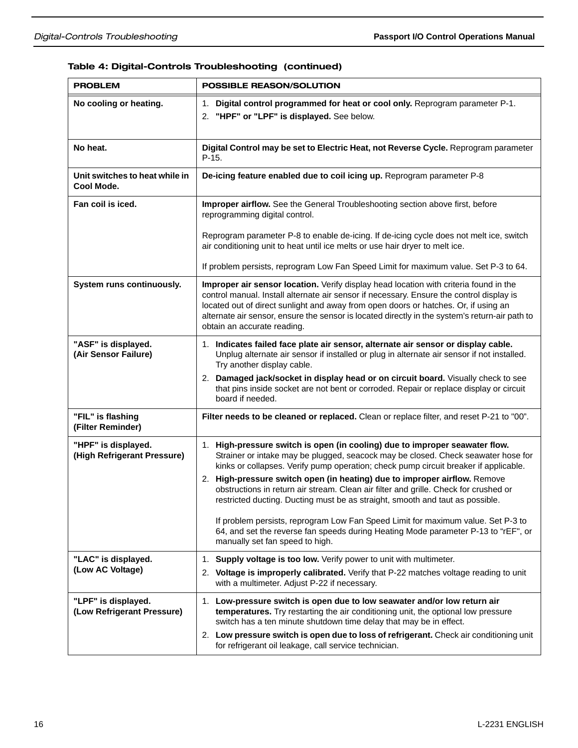## Table 4: Digital-Controls Troubleshooting (continued)

| <b>PROBLEM</b>                                     | POSSIBLE REASON/SOLUTION                                                                                                                                                                                                                                                                                                                                                                                                                                                                                       |  |  |
|----------------------------------------------------|----------------------------------------------------------------------------------------------------------------------------------------------------------------------------------------------------------------------------------------------------------------------------------------------------------------------------------------------------------------------------------------------------------------------------------------------------------------------------------------------------------------|--|--|
| No cooling or heating.                             | Digital control programmed for heat or cool only. Reprogram parameter P-1.<br>1.<br>2. "HPF" or "LPF" is displayed. See below.                                                                                                                                                                                                                                                                                                                                                                                 |  |  |
| No heat.                                           | Digital Control may be set to Electric Heat, not Reverse Cycle. Reprogram parameter<br>$P-15.$                                                                                                                                                                                                                                                                                                                                                                                                                 |  |  |
| Unit switches to heat while in<br>Cool Mode.       | De-icing feature enabled due to coil icing up. Reprogram parameter P-8                                                                                                                                                                                                                                                                                                                                                                                                                                         |  |  |
| Fan coil is iced.                                  | Improper airflow. See the General Troubleshooting section above first, before<br>reprogramming digital control.                                                                                                                                                                                                                                                                                                                                                                                                |  |  |
|                                                    | Reprogram parameter P-8 to enable de-icing. If de-icing cycle does not melt ice, switch<br>air conditioning unit to heat until ice melts or use hair dryer to melt ice.                                                                                                                                                                                                                                                                                                                                        |  |  |
|                                                    | If problem persists, reprogram Low Fan Speed Limit for maximum value. Set P-3 to 64.                                                                                                                                                                                                                                                                                                                                                                                                                           |  |  |
| System runs continuously.                          | Improper air sensor location. Verify display head location with criteria found in the<br>control manual. Install alternate air sensor if necessary. Ensure the control display is<br>located out of direct sunlight and away from open doors or hatches. Or, if using an<br>alternate air sensor, ensure the sensor is located directly in the system's return-air path to<br>obtain an accurate reading.                                                                                                      |  |  |
| "ASF" is displayed.<br>(Air Sensor Failure)        | 1. Indicates failed face plate air sensor, alternate air sensor or display cable.<br>Unplug alternate air sensor if installed or plug in alternate air sensor if not installed.<br>Try another display cable.                                                                                                                                                                                                                                                                                                  |  |  |
|                                                    | 2. Damaged jack/socket in display head or on circuit board. Visually check to see<br>that pins inside socket are not bent or corroded. Repair or replace display or circuit<br>board if needed.                                                                                                                                                                                                                                                                                                                |  |  |
| "FIL" is flashing<br>(Filter Reminder)             | Filter needs to be cleaned or replaced. Clean or replace filter, and reset P-21 to "00".                                                                                                                                                                                                                                                                                                                                                                                                                       |  |  |
| "HPF" is displayed.<br>(High Refrigerant Pressure) | 1. High-pressure switch is open (in cooling) due to improper seawater flow.<br>Strainer or intake may be plugged, seacock may be closed. Check seawater hose for<br>kinks or collapses. Verify pump operation; check pump circuit breaker if applicable.<br>2. High-pressure switch open (in heating) due to improper airflow. Remove<br>obstructions in return air stream. Clean air filter and grille. Check for crushed or<br>restricted ducting. Ducting must be as straight, smooth and taut as possible. |  |  |
|                                                    | If problem persists, reprogram Low Fan Speed Limit for maximum value. Set P-3 to<br>64, and set the reverse fan speeds during Heating Mode parameter P-13 to "rEF", or<br>manually set fan speed to high.                                                                                                                                                                                                                                                                                                      |  |  |
| "LAC" is displayed.                                | Supply voltage is too low. Verify power to unit with multimeter.<br>1.                                                                                                                                                                                                                                                                                                                                                                                                                                         |  |  |
| (Low AC Voltage)                                   | 2. Voltage is improperly calibrated. Verify that P-22 matches voltage reading to unit<br>with a multimeter. Adjust P-22 if necessary.                                                                                                                                                                                                                                                                                                                                                                          |  |  |
| "LPF" is displayed.<br>(Low Refrigerant Pressure)  | 1. Low-pressure switch is open due to low seawater and/or low return air<br>temperatures. Try restarting the air conditioning unit, the optional low pressure<br>switch has a ten minute shutdown time delay that may be in effect.                                                                                                                                                                                                                                                                            |  |  |
|                                                    | 2. Low pressure switch is open due to loss of refrigerant. Check air conditioning unit<br>for refrigerant oil leakage, call service technician.                                                                                                                                                                                                                                                                                                                                                                |  |  |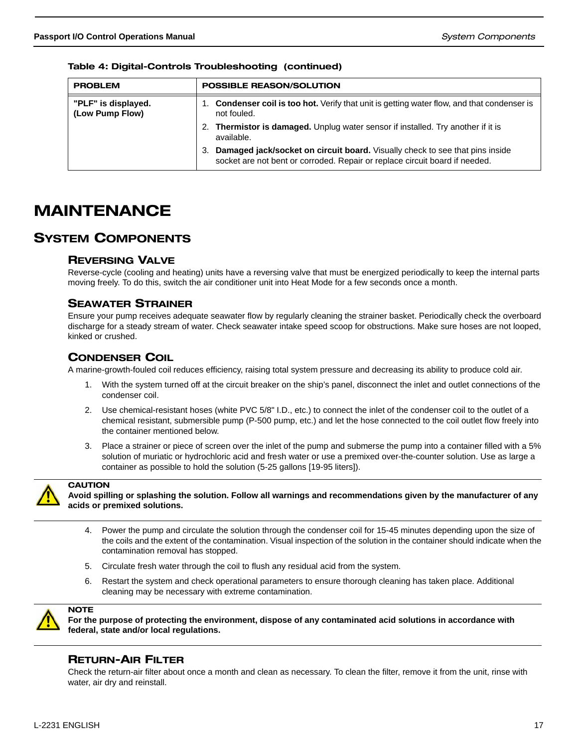| <b>PROBLEM</b>                         | <b>POSSIBLE REASON/SOLUTION</b>                                                                                                                                          |  |  |
|----------------------------------------|--------------------------------------------------------------------------------------------------------------------------------------------------------------------------|--|--|
|                                        |                                                                                                                                                                          |  |  |
| "PLF" is displayed.<br>(Low Pump Flow) | <b>Condenser coil is too hot.</b> Verify that unit is getting water flow, and that condenser is<br>not fouled.                                                           |  |  |
|                                        | 2. Thermistor is damaged. Unplug water sensor if installed. Try another if it is<br>available.                                                                           |  |  |
|                                        | <b>Damaged jack/socket on circuit board.</b> Visually check to see that pins inside<br>З.<br>socket are not bent or corroded. Repair or replace circuit board if needed. |  |  |

Table 4: Digital-Controls Troubleshooting (continued)

## MAINTENANCE

## SYSTEM COMPONENTS

## REVERSING VALVE

Reverse-cycle (cooling and heating) units have a reversing valve that must be energized periodically to keep the internal parts moving freely. To do this, switch the air conditioner unit into Heat Mode for a few seconds once a month.

## SEAWATER STRAINER

Ensure your pump receives adequate seawater flow by regularly cleaning the strainer basket. Periodically check the overboard discharge for a steady stream of water. Check seawater intake speed scoop for obstructions. Make sure hoses are not looped, kinked or crushed.

## CONDENSER COIL

A marine-growth-fouled coil reduces efficiency, raising total system pressure and decreasing its ability to produce cold air.

- 1. With the system turned off at the circuit breaker on the ship's panel, disconnect the inlet and outlet connections of the condenser coil.
- 2. Use chemical-resistant hoses (white PVC 5/8" I.D., etc.) to connect the inlet of the condenser coil to the outlet of a chemical resistant, submersible pump (P-500 pump, etc.) and let the hose connected to the coil outlet flow freely into the container mentioned below.
- 3. Place a strainer or piece of screen over the inlet of the pump and submerse the pump into a container filled with a 5% solution of muriatic or hydrochloric acid and fresh water or use a premixed over-the-counter solution. Use as large a container as possible to hold the solution (5-25 gallons [19-95 liters]).



**CAUTION** 

**Avoid spilling or splashing the solution. Follow all warnings and recommendations given by the manufacturer of any acids or premixed solutions.**

- 4. Power the pump and circulate the solution through the condenser coil for 15-45 minutes depending upon the size of the coils and the extent of the contamination. Visual inspection of the solution in the container should indicate when the contamination removal has stopped.
- 5. Circulate fresh water through the coil to flush any residual acid from the system.
- 6. Restart the system and check operational parameters to ensure thorough cleaning has taken place. Additional cleaning may be necessary with extreme contamination.



**For the purpose of protecting the environment, dispose of any contaminated acid solutions in accordance with federal, state and/or local regulations.**

## RETURN-AIR FILTER

Check the return-air filter about once a month and clean as necessary. To clean the filter, remove it from the unit, rinse with water, air dry and reinstall.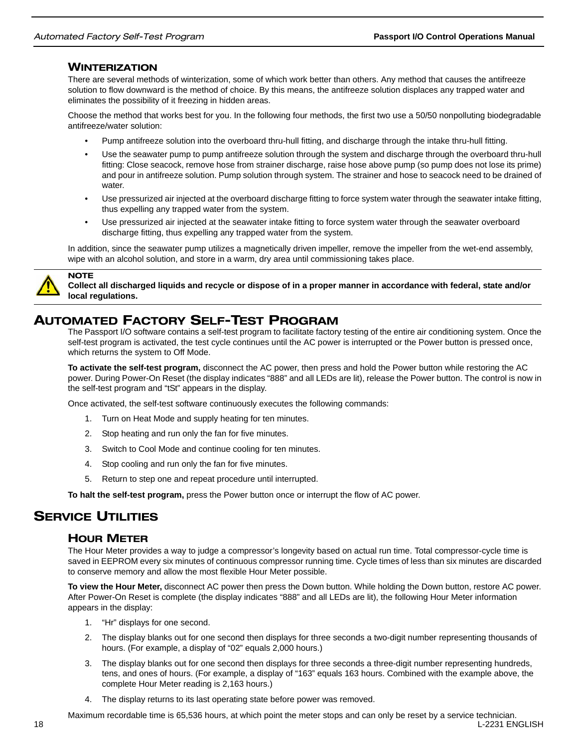### **WINTERIZATION**

There are several methods of winterization, some of which work better than others. Any method that causes the antifreeze solution to flow downward is the method of choice. By this means, the antifreeze solution displaces any trapped water and eliminates the possibility of it freezing in hidden areas.

Choose the method that works best for you. In the following four methods, the first two use a 50/50 nonpolluting biodegradable antifreeze/water solution:

- Pump antifreeze solution into the overboard thru-hull fitting, and discharge through the intake thru-hull fitting.
- Use the seawater pump to pump antifreeze solution through the system and discharge through the overboard thru-hull fitting: Close seacock, remove hose from strainer discharge, raise hose above pump (so pump does not lose its prime) and pour in antifreeze solution. Pump solution through system. The strainer and hose to seacock need to be drained of water.
- Use pressurized air injected at the overboard discharge fitting to force system water through the seawater intake fitting, thus expelling any trapped water from the system.
- Use pressurized air injected at the seawater intake fitting to force system water through the seawater overboard discharge fitting, thus expelling any trapped water from the system.

In addition, since the seawater pump utilizes a magnetically driven impeller, remove the impeller from the wet-end assembly, wipe with an alcohol solution, and store in a warm, dry area until commissioning takes place.



**NOTE** 

**Collect all discharged liquids and recycle or dispose of in a proper manner in accordance with federal, state and/or local regulations.**

## AUTOMATED FACTORY SELF-TEST PROGRAM

The Passport I/O software contains a self-test program to facilitate factory testing of the entire air conditioning system. Once the self-test program is activated, the test cycle continues until the AC power is interrupted or the Power button is pressed once, which returns the system to Off Mode.

**To activate the self-test program,** disconnect the AC power, then press and hold the Power button while restoring the AC power. During Power-On Reset (the display indicates "888" and all LEDs are lit), release the Power button. The control is now in the self-test program and "tSt" appears in the display.

Once activated, the self-test software continuously executes the following commands:

- 1. Turn on Heat Mode and supply heating for ten minutes.
- 2. Stop heating and run only the fan for five minutes.
- 3. Switch to Cool Mode and continue cooling for ten minutes.
- 4. Stop cooling and run only the fan for five minutes.
- 5. Return to step one and repeat procedure until interrupted.

**To halt the self-test program,** press the Power button once or interrupt the flow of AC power.

## **SERVICE UTILITIES**

#### HOUR METER

The Hour Meter provides a way to judge a compressor's longevity based on actual run time. Total compressor-cycle time is saved in EEPROM every six minutes of continuous compressor running time. Cycle times of less than six minutes are discarded to conserve memory and allow the most flexible Hour Meter possible.

**To view the Hour Meter,** disconnect AC power then press the Down button. While holding the Down button, restore AC power. After Power-On Reset is complete (the display indicates "888" and all LEDs are lit), the following Hour Meter information appears in the display:

- 1. "Hr" displays for one second.
- 2. The display blanks out for one second then displays for three seconds a two-digit number representing thousands of hours. (For example, a display of "02" equals 2,000 hours.)
- 3. The display blanks out for one second then displays for three seconds a three-digit number representing hundreds, tens, and ones of hours. (For example, a display of "163" equals 163 hours. Combined with the example above, the complete Hour Meter reading is 2,163 hours.)
- 4. The display returns to its last operating state before power was removed.

18 L-2231 ENGLISH Maximum recordable time is 65,536 hours, at which point the meter stops and can only be reset by a service technician.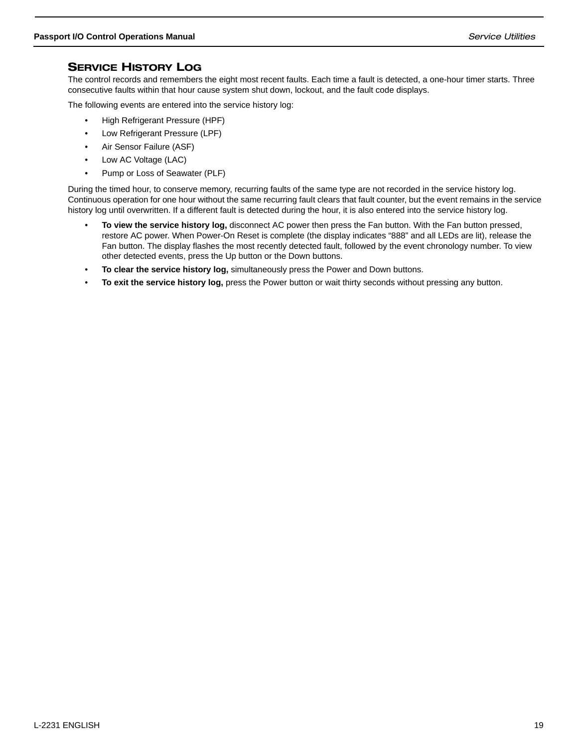## SERVICE HISTORY LOG

The control records and remembers the eight most recent faults. Each time a fault is detected, a one-hour timer starts. Three consecutive faults within that hour cause system shut down, lockout, and the fault code displays.

The following events are entered into the service history log:

- High Refrigerant Pressure (HPF)
- Low Refrigerant Pressure (LPF)
- Air Sensor Failure (ASF)
- Low AC Voltage (LAC)
- Pump or Loss of Seawater (PLF)

During the timed hour, to conserve memory, recurring faults of the same type are not recorded in the service history log. Continuous operation for one hour without the same recurring fault clears that fault counter, but the event remains in the service history log until overwritten. If a different fault is detected during the hour, it is also entered into the service history log.

- **To view the service history log,** disconnect AC power then press the Fan button. With the Fan button pressed, restore AC power. When Power-On Reset is complete (the display indicates "888" and all LEDs are lit), release the Fan button. The display flashes the most recently detected fault, followed by the event chronology number. To view other detected events, press the Up button or the Down buttons.
- **To clear the service history log,** simultaneously press the Power and Down buttons.
- **To exit the service history log,** press the Power button or wait thirty seconds without pressing any button.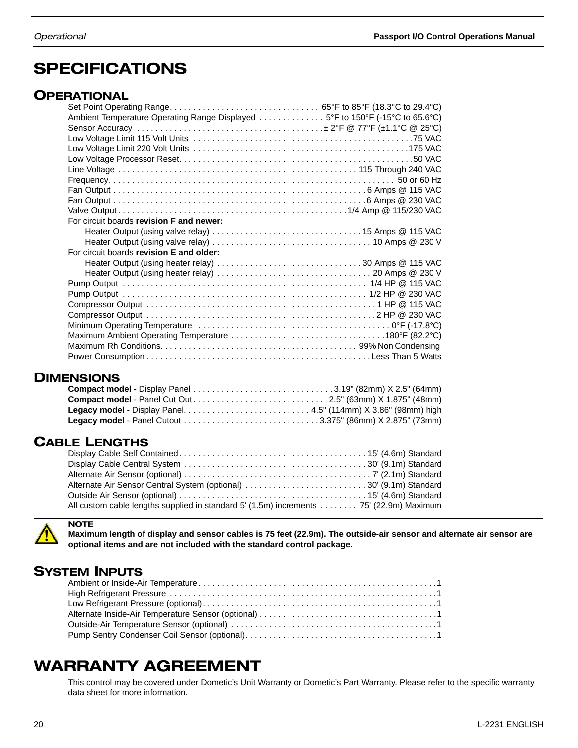## SPECIFICATIONS

## **OPERATIONAL**

| Ambient Temperature Operating Range Displayed 5°F to 150°F (-15°C to 65.6°C) |  |
|------------------------------------------------------------------------------|--|
|                                                                              |  |
|                                                                              |  |
|                                                                              |  |
|                                                                              |  |
|                                                                              |  |
|                                                                              |  |
|                                                                              |  |
|                                                                              |  |
|                                                                              |  |
| For circuit boards revision F and newer:                                     |  |
|                                                                              |  |
|                                                                              |  |
| For circuit boards revision E and older:                                     |  |
| Heater Output (using heater relay) 30 Amps @ 115 VAC                         |  |
|                                                                              |  |
|                                                                              |  |
|                                                                              |  |
|                                                                              |  |
|                                                                              |  |
|                                                                              |  |
|                                                                              |  |
|                                                                              |  |
|                                                                              |  |

## **DIMENSIONS**

## CABLE LENGTHS

| Alternate Air Sensor Central System (optional) 30' (9.1m) Standard                     |  |
|----------------------------------------------------------------------------------------|--|
|                                                                                        |  |
| All custom cable lengths supplied in standard 5' (1.5m) increments 75' (22.9m) Maximum |  |



**NOTE Maximum length of display and sensor cables is 75 feet (22.9m). The outside-air sensor and alternate air sensor are optional items and are not included with the standard control package.**

## SYSTEM INPUTS

## WARRANTY AGREEMENT

This control may be covered under Dometic's Unit Warranty or Dometic's Part Warranty. Please refer to the specific warranty data sheet for more information.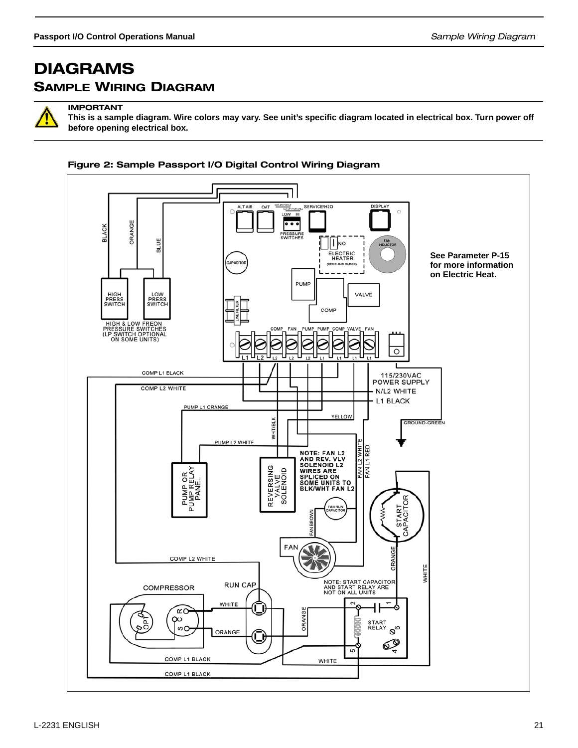## DIAGRAMS SAMPLE WIRING DIAGRAM



IMPORTANT

**This is a sample diagram. Wire colors may vary. See unit's specific diagram located in electrical box. Turn power off before opening electrical box.**

#### Figure 2: Sample Passport I/O Digital Control Wiring Diagram